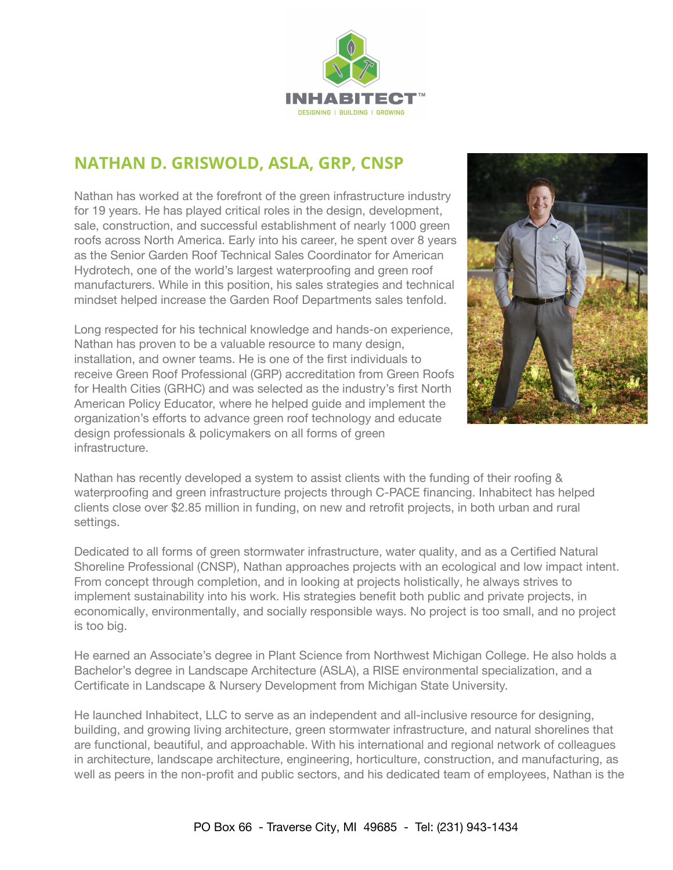

## **NATHAN D. GRISWOLD, ASLA, GRP, CNSP**

Nathan has worked at the forefront of the green infrastructure industry for 19 years. He has played critical roles in the design, development, sale, construction, and successful establishment of nearly 1000 green roofs across North America. Early into his career, he spent over 8 years as the Senior Garden Roof Technical Sales Coordinator for American Hydrotech, one of the world's largest waterproofing and green roof manufacturers. While in this position, his sales strategies and technical mindset helped increase the Garden Roof Departments sales tenfold.

Long respected for his technical knowledge and hands-on experience, Nathan has proven to be a valuable resource to many design, installation, and owner teams. He is one of the first individuals to receive Green Roof Professional (GRP) accreditation from Green Roofs for Health Cities (GRHC) and was selected as the industry's first North American Policy Educator, where he helped guide and implement the organization's efforts to advance green roof technology and educate design professionals & policymakers on all forms of green infrastructure.



Nathan has recently developed a system to assist clients with the funding of their roofing & waterproofing and green infrastructure projects through C-PACE financing. Inhabitect has helped clients close over \$2.85 million in funding, on new and retrofit projects, in both urban and rural settings.

Dedicated to all forms of green stormwater infrastructure, water quality, and as a Certified Natural Shoreline Professional (CNSP), Nathan approaches projects with an ecological and low impact intent. From concept through completion, and in looking at projects holistically, he always strives to implement sustainability into his work. His strategies benefit both public and private projects, in economically, environmentally, and socially responsible ways. No project is too small, and no project is too big.

He earned an Associate's degree in Plant Science from Northwest Michigan College. He also holds a Bachelor's degree in Landscape Architecture (ASLA), a RISE environmental specialization, and a Certificate in Landscape & Nursery Development from Michigan State University.

He launched Inhabitect, LLC to serve as an independent and all-inclusive resource for designing, building, and growing living architecture, green stormwater infrastructure, and natural shorelines that are functional, beautiful, and approachable. With his international and regional network of colleagues in architecture, landscape architecture, engineering, horticulture, construction, and manufacturing, as well as peers in the non-profit and public sectors, and his dedicated team of employees, Nathan is the